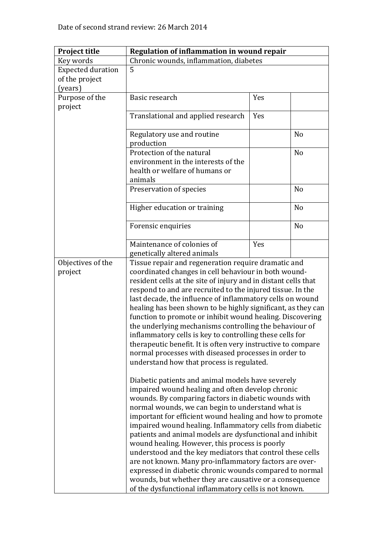| <b>Project title</b>     | Regulation of inflammation in wound repair                                                                          |                                                        |                |  |  |
|--------------------------|---------------------------------------------------------------------------------------------------------------------|--------------------------------------------------------|----------------|--|--|
| Key words                | Chronic wounds, inflammation, diabetes                                                                              |                                                        |                |  |  |
| <b>Expected duration</b> | 5                                                                                                                   |                                                        |                |  |  |
| of the project           |                                                                                                                     |                                                        |                |  |  |
| (years)                  |                                                                                                                     |                                                        |                |  |  |
| Purpose of the           | Basic research                                                                                                      | Yes                                                    |                |  |  |
| project                  |                                                                                                                     |                                                        |                |  |  |
|                          | Translational and applied research                                                                                  | Yes                                                    |                |  |  |
|                          |                                                                                                                     |                                                        |                |  |  |
|                          | Regulatory use and routine                                                                                          |                                                        | N <sub>o</sub> |  |  |
|                          | production                                                                                                          |                                                        |                |  |  |
|                          | Protection of the natural                                                                                           |                                                        | N <sub>o</sub> |  |  |
|                          | environment in the interests of the                                                                                 |                                                        |                |  |  |
|                          | health or welfare of humans or                                                                                      |                                                        |                |  |  |
|                          | animals                                                                                                             |                                                        |                |  |  |
|                          | Preservation of species                                                                                             |                                                        | N <sub>o</sub> |  |  |
|                          |                                                                                                                     |                                                        |                |  |  |
|                          | Higher education or training                                                                                        |                                                        | N <sub>o</sub> |  |  |
|                          |                                                                                                                     |                                                        |                |  |  |
|                          | Forensic enquiries                                                                                                  |                                                        | N <sub>o</sub> |  |  |
|                          |                                                                                                                     |                                                        |                |  |  |
|                          | Maintenance of colonies of                                                                                          | Yes                                                    |                |  |  |
|                          | genetically altered animals                                                                                         |                                                        |                |  |  |
| Objectives of the        | Tissue repair and regeneration require dramatic and                                                                 |                                                        |                |  |  |
| project                  | coordinated changes in cell behaviour in both wound-                                                                |                                                        |                |  |  |
|                          | resident cells at the site of injury and in distant cells that                                                      |                                                        |                |  |  |
|                          | respond to and are recruited to the injured tissue. In the                                                          |                                                        |                |  |  |
|                          | last decade, the influence of inflammatory cells on wound                                                           |                                                        |                |  |  |
|                          | healing has been shown to be highly significant, as they can                                                        |                                                        |                |  |  |
|                          |                                                                                                                     |                                                        |                |  |  |
|                          | function to promote or inhibit wound healing. Discovering<br>the underlying mechanisms controlling the behaviour of |                                                        |                |  |  |
|                          | inflammatory cells is key to controlling these cells for                                                            |                                                        |                |  |  |
|                          | therapeutic benefit. It is often very instructive to compare                                                        |                                                        |                |  |  |
|                          |                                                                                                                     |                                                        |                |  |  |
|                          | normal processes with diseased processes in order to<br>understand how that process is regulated.                   |                                                        |                |  |  |
|                          |                                                                                                                     |                                                        |                |  |  |
|                          | Diabetic patients and animal models have severely                                                                   |                                                        |                |  |  |
|                          | impaired wound healing and often develop chronic                                                                    |                                                        |                |  |  |
|                          | wounds. By comparing factors in diabetic wounds with                                                                |                                                        |                |  |  |
|                          | normal wounds, we can begin to understand what is                                                                   |                                                        |                |  |  |
|                          | important for efficient wound healing and how to promote                                                            |                                                        |                |  |  |
|                          | impaired wound healing. Inflammatory cells from diabetic                                                            |                                                        |                |  |  |
|                          | patients and animal models are dysfunctional and inhibit                                                            |                                                        |                |  |  |
|                          | wound healing. However, this process is poorly                                                                      |                                                        |                |  |  |
|                          | understood and the key mediators that control these cells                                                           |                                                        |                |  |  |
|                          |                                                                                                                     | are not known. Many pro-inflammatory factors are over- |                |  |  |
|                          | expressed in diabetic chronic wounds compared to normal                                                             |                                                        |                |  |  |
|                          | wounds, but whether they are causative or a consequence                                                             |                                                        |                |  |  |
|                          | of the dysfunctional inflammatory cells is not known.                                                               |                                                        |                |  |  |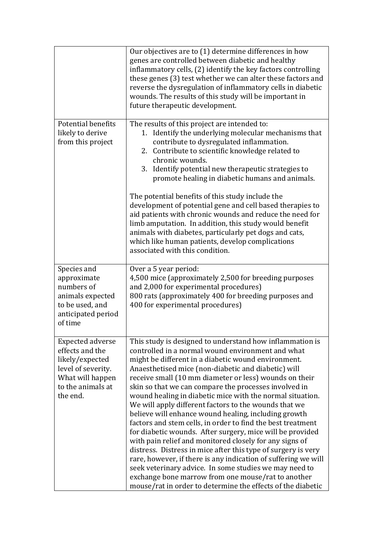|                                                                                                                                          | Our objectives are to (1) determine differences in how<br>genes are controlled between diabetic and healthy<br>inflammatory cells, (2) identify the key factors controlling<br>these genes (3) test whether we can alter these factors and<br>reverse the dysregulation of inflammatory cells in diabetic<br>wounds. The results of this study will be important in<br>future therapeutic development.                                                                                                                                                                                                                                                                                                                                                                                                                                                                                                                                                                                                                                |
|------------------------------------------------------------------------------------------------------------------------------------------|---------------------------------------------------------------------------------------------------------------------------------------------------------------------------------------------------------------------------------------------------------------------------------------------------------------------------------------------------------------------------------------------------------------------------------------------------------------------------------------------------------------------------------------------------------------------------------------------------------------------------------------------------------------------------------------------------------------------------------------------------------------------------------------------------------------------------------------------------------------------------------------------------------------------------------------------------------------------------------------------------------------------------------------|
| Potential benefits<br>likely to derive<br>from this project                                                                              | The results of this project are intended to:<br>Identify the underlying molecular mechanisms that<br>1.<br>contribute to dysregulated inflammation.<br>2. Contribute to scientific knowledge related to<br>chronic wounds.<br>3. Identify potential new therapeutic strategies to<br>promote healing in diabetic humans and animals.<br>The potential benefits of this study include the<br>development of potential gene and cell based therapies to<br>aid patients with chronic wounds and reduce the need for<br>limb amputation. In addition, this study would benefit<br>animals with diabetes, particularly pet dogs and cats,<br>which like human patients, develop complications<br>associated with this condition.                                                                                                                                                                                                                                                                                                          |
| Species and<br>approximate<br>numbers of<br>animals expected<br>to be used, and<br>anticipated period<br>of time                         | Over a 5 year period:<br>4,500 mice (approximately 2,500 for breeding purposes<br>and 2,000 for experimental procedures)<br>800 rats (approximately 400 for breeding purposes and<br>400 for experimental procedures)                                                                                                                                                                                                                                                                                                                                                                                                                                                                                                                                                                                                                                                                                                                                                                                                                 |
| <b>Expected adverse</b><br>effects and the<br>likely/expected<br>level of severity.<br>What will happen<br>to the animals at<br>the end. | This study is designed to understand how inflammation is<br>controlled in a normal wound environment and what<br>might be different in a diabetic wound environment.<br>Anaesthetised mice (non-diabetic and diabetic) will<br>receive small (10 mm diameter or less) wounds on their<br>skin so that we can compare the processes involved in<br>wound healing in diabetic mice with the normal situation.<br>We will apply different factors to the wounds that we<br>believe will enhance wound healing, including growth<br>factors and stem cells, in order to find the best treatment<br>for diabetic wounds. After surgery, mice will be provided<br>with pain relief and monitored closely for any signs of<br>distress. Distress in mice after this type of surgery is very<br>rare, however, if there is any indication of suffering we will<br>seek veterinary advice. In some studies we may need to<br>exchange bone marrow from one mouse/rat to another<br>mouse/rat in order to determine the effects of the diabetic |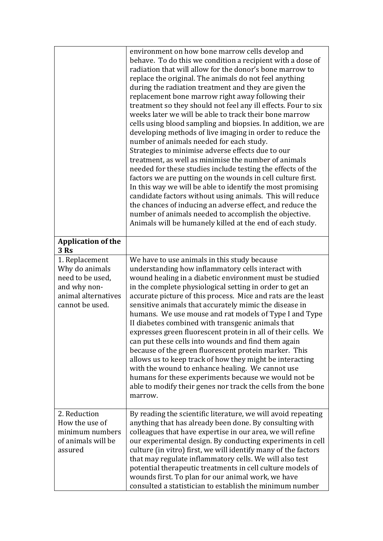|                                                                                                                | environment on how bone marrow cells develop and<br>behave. To do this we condition a recipient with a dose of<br>radiation that will allow for the donor's bone marrow to<br>replace the original. The animals do not feel anything<br>during the radiation treatment and they are given the<br>replacement bone marrow right away following their<br>treatment so they should not feel any ill effects. Four to six<br>weeks later we will be able to track their bone marrow<br>cells using blood sampling and biopsies. In addition, we are<br>developing methods of live imaging in order to reduce the<br>number of animals needed for each study.<br>Strategies to minimise adverse effects due to our<br>treatment, as well as minimise the number of animals<br>needed for these studies include testing the effects of the<br>factors we are putting on the wounds in cell culture first.<br>In this way we will be able to identify the most promising<br>candidate factors without using animals. This will reduce<br>the chances of inducing an adverse effect, and reduce the<br>number of animals needed to accomplish the objective.<br>Animals will be humanely killed at the end of each study. |
|----------------------------------------------------------------------------------------------------------------|-------------------------------------------------------------------------------------------------------------------------------------------------------------------------------------------------------------------------------------------------------------------------------------------------------------------------------------------------------------------------------------------------------------------------------------------------------------------------------------------------------------------------------------------------------------------------------------------------------------------------------------------------------------------------------------------------------------------------------------------------------------------------------------------------------------------------------------------------------------------------------------------------------------------------------------------------------------------------------------------------------------------------------------------------------------------------------------------------------------------------------------------------------------------------------------------------------------------|
| <b>Application of the</b><br>3 Rs                                                                              |                                                                                                                                                                                                                                                                                                                                                                                                                                                                                                                                                                                                                                                                                                                                                                                                                                                                                                                                                                                                                                                                                                                                                                                                                   |
| 1. Replacement<br>Why do animals<br>need to be used,<br>and why non-<br>animal alternatives<br>cannot be used. | We have to use animals in this study because<br>understanding how inflammatory cells interact with<br>wound healing in a diabetic environment must be studied<br>in the complete physiological setting in order to get an<br>accurate picture of this process. Mice and rats are the least<br>sensitive animals that accurately mimic the disease in<br>humans. We use mouse and rat models of Type I and Type<br>II diabetes combined with transgenic animals that<br>expresses green fluorescent protein in all of their cells. We<br>can put these cells into wounds and find them again<br>because of the green fluorescent protein marker. This<br>allows us to keep track of how they might be interacting<br>with the wound to enhance healing. We cannot use<br>humans for these experiments because we would not be<br>able to modify their genes nor track the cells from the bone<br>marrow.                                                                                                                                                                                                                                                                                                           |
| 2. Reduction<br>How the use of<br>minimum numbers<br>of animals will be<br>assured                             | By reading the scientific literature, we will avoid repeating<br>anything that has already been done. By consulting with<br>colleagues that have expertise in our area, we will refine<br>our experimental design. By conducting experiments in cell<br>culture (in vitro) first, we will identify many of the factors<br>that may regulate inflammatory cells. We will also test<br>potential therapeutic treatments in cell culture models of<br>wounds first. To plan for our animal work, we have<br>consulted a statistician to establish the minimum number                                                                                                                                                                                                                                                                                                                                                                                                                                                                                                                                                                                                                                                 |